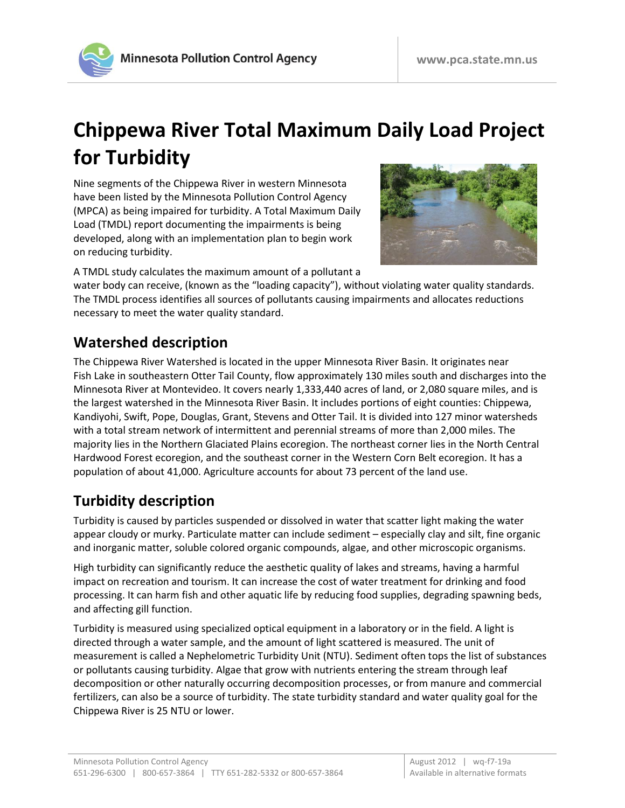

# **Chippewa River Total Maximum Daily Load Project for Turbidity**

Nine segments of the Chippewa River in western Minnesota have been listed by the Minnesota Pollution Control Agency (MPCA) as being impaired for turbidity. A Total Maximum Daily Load (TMDL) report documenting the impairments is being developed, along with an implementation plan to begin work on reducing turbidity.



A TMDL study calculates the maximum amount of a pollutant a

water body can receive, (known as the "loading capacity"), without violating water quality standards. The TMDL process identifies all sources of pollutants causing impairments and allocates reductions necessary to meet the water quality standard.

#### **Watershed description**

The Chippewa River Watershed is located in the upper Minnesota River Basin. It originates near Fish Lake in southeastern Otter Tail County, flow approximately 130 miles south and discharges into the Minnesota River at Montevideo. It covers nearly 1,333,440 acres of land, or 2,080 square miles, and is the largest watershed in the Minnesota River Basin. It includes portions of eight counties: Chippewa, Kandiyohi, Swift, Pope, Douglas, Grant, Stevens and Otter Tail. It is divided into 127 minor watersheds with a total stream network of intermittent and perennial streams of more than 2,000 miles. The majority lies in the Northern Glaciated Plains ecoregion. The northeast corner lies in the North Central Hardwood Forest ecoregion, and the southeast corner in the Western Corn Belt ecoregion. It has a population of about 41,000. Agriculture accounts for about 73 percent of the land use.

### **Turbidity description**

Turbidity is caused by particles suspended or dissolved in water that scatter light making the water appear cloudy or murky. Particulate matter can include sediment – especially clay and silt, fine organic and inorganic matter, soluble colored organic compounds, algae, and other microscopic organisms.

High turbidity can significantly reduce the aesthetic quality of lakes and streams, having a harmful impact on recreation and tourism. It can increase the cost of water treatment for drinking and food processing. It can harm fish and other aquatic life by reducing food supplies, degrading spawning beds, and affecting gill function.

Turbidity is measured using specialized optical equipment in a laboratory or in the field. A light is directed through a water sample, and the amount of light scattered is measured. The unit of measurement is called a Nephelometric Turbidity Unit (NTU). Sediment often tops the list of substances or pollutants causing turbidity. Algae that grow with nutrients entering the stream through leaf decomposition or other naturally occurring decomposition processes, or from manure and commercial fertilizers, can also be a source of turbidity. The state turbidity standard and water quality goal for the Chippewa River is 25 NTU or lower.